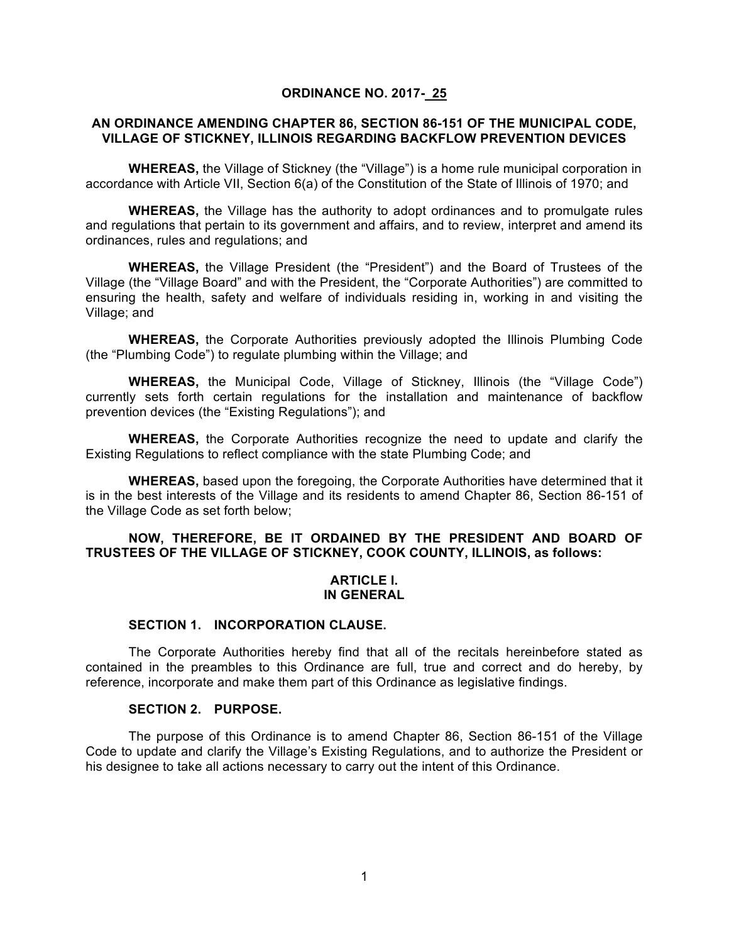#### **ORDINANCE NO. 2017- 25**

#### **AN ORDINANCE AMENDING CHAPTER 86, SECTION 86-151 OF THE MUNICIPAL CODE, VILLAGE OF STICKNEY, ILLINOIS REGARDING BACKFLOW PREVENTION DEVICES**

**WHEREAS,** the Village of Stickney (the "Village") is a home rule municipal corporation in accordance with Article VII, Section 6(a) of the Constitution of the State of Illinois of 1970; and

**WHEREAS,** the Village has the authority to adopt ordinances and to promulgate rules and regulations that pertain to its government and affairs, and to review, interpret and amend its ordinances, rules and regulations; and

**WHEREAS,** the Village President (the "President") and the Board of Trustees of the Village (the "Village Board" and with the President, the "Corporate Authorities") are committed to ensuring the health, safety and welfare of individuals residing in, working in and visiting the Village; and

**WHEREAS,** the Corporate Authorities previously adopted the Illinois Plumbing Code (the "Plumbing Code") to regulate plumbing within the Village; and

**WHEREAS,** the Municipal Code, Village of Stickney, Illinois (the "Village Code") currently sets forth certain regulations for the installation and maintenance of backflow prevention devices (the "Existing Regulations"); and

**WHEREAS,** the Corporate Authorities recognize the need to update and clarify the Existing Regulations to reflect compliance with the state Plumbing Code; and

**WHEREAS,** based upon the foregoing, the Corporate Authorities have determined that it is in the best interests of the Village and its residents to amend Chapter 86, Section 86-151 of the Village Code as set forth below;

## **NOW, THEREFORE, BE IT ORDAINED BY THE PRESIDENT AND BOARD OF TRUSTEES OF THE VILLAGE OF STICKNEY, COOK COUNTY, ILLINOIS, as follows:**

#### **ARTICLE I. IN GENERAL**

#### **SECTION 1. INCORPORATION CLAUSE.**

The Corporate Authorities hereby find that all of the recitals hereinbefore stated as contained in the preambles to this Ordinance are full, true and correct and do hereby, by reference, incorporate and make them part of this Ordinance as legislative findings.

## **SECTION 2. PURPOSE.**

The purpose of this Ordinance is to amend Chapter 86, Section 86-151 of the Village Code to update and clarify the Village's Existing Regulations, and to authorize the President or his designee to take all actions necessary to carry out the intent of this Ordinance.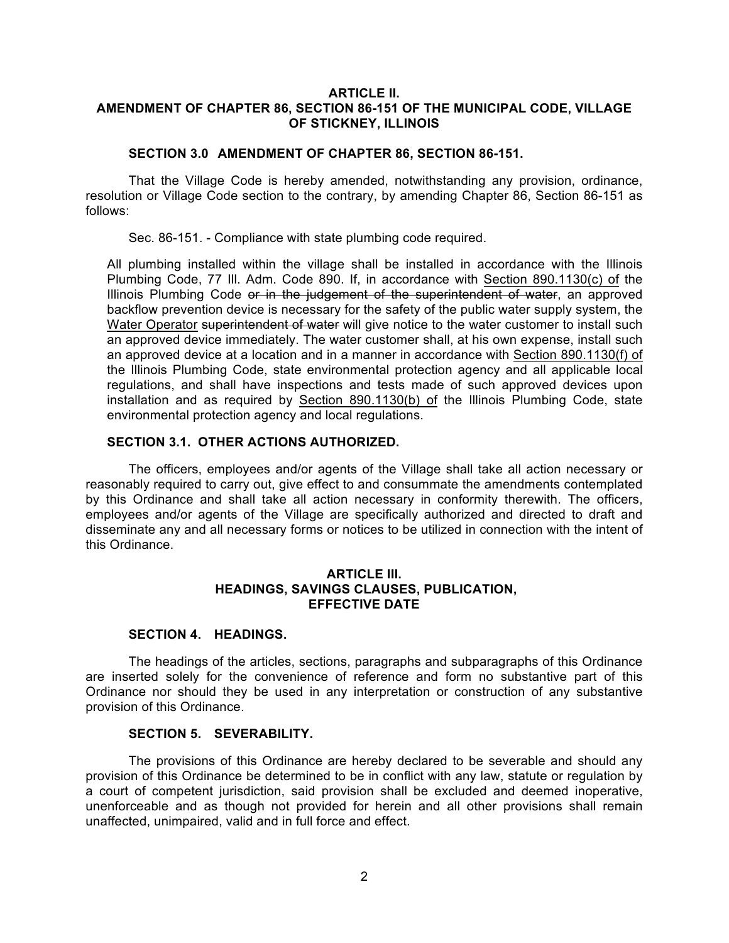## **ARTICLE II. AMENDMENT OF CHAPTER 86, SECTION 86-151 OF THE MUNICIPAL CODE, VILLAGE OF STICKNEY, ILLINOIS**

## **SECTION 3.0 AMENDMENT OF CHAPTER 86, SECTION 86-151.**

That the Village Code is hereby amended, notwithstanding any provision, ordinance, resolution or Village Code section to the contrary, by amending Chapter 86, Section 86-151 as follows:

Sec. 86-151. - Compliance with state plumbing code required.

All plumbing installed within the village shall be installed in accordance with the Illinois Plumbing Code, 77 Ill. Adm. Code 890. If, in accordance with Section 890.1130(c) of the Illinois Plumbing Code or in the judgement of the superintendent of water, an approved backflow prevention device is necessary for the safety of the public water supply system, the Water Operator superintendent of water will give notice to the water customer to install such an approved device immediately. The water customer shall, at his own expense, install such an approved device at a location and in a manner in accordance with Section 890.1130(f) of the Illinois Plumbing Code, state environmental protection agency and all applicable local regulations, and shall have inspections and tests made of such approved devices upon installation and as required by Section 890.1130(b) of the Illinois Plumbing Code, state environmental protection agency and local regulations.

# **SECTION 3.1. OTHER ACTIONS AUTHORIZED.**

The officers, employees and/or agents of the Village shall take all action necessary or reasonably required to carry out, give effect to and consummate the amendments contemplated by this Ordinance and shall take all action necessary in conformity therewith. The officers, employees and/or agents of the Village are specifically authorized and directed to draft and disseminate any and all necessary forms or notices to be utilized in connection with the intent of this Ordinance.

## **ARTICLE III. HEADINGS, SAVINGS CLAUSES, PUBLICATION, EFFECTIVE DATE**

## **SECTION 4. HEADINGS.**

The headings of the articles, sections, paragraphs and subparagraphs of this Ordinance are inserted solely for the convenience of reference and form no substantive part of this Ordinance nor should they be used in any interpretation or construction of any substantive provision of this Ordinance.

# **SECTION 5. SEVERABILITY.**

The provisions of this Ordinance are hereby declared to be severable and should any provision of this Ordinance be determined to be in conflict with any law, statute or regulation by a court of competent jurisdiction, said provision shall be excluded and deemed inoperative, unenforceable and as though not provided for herein and all other provisions shall remain unaffected, unimpaired, valid and in full force and effect.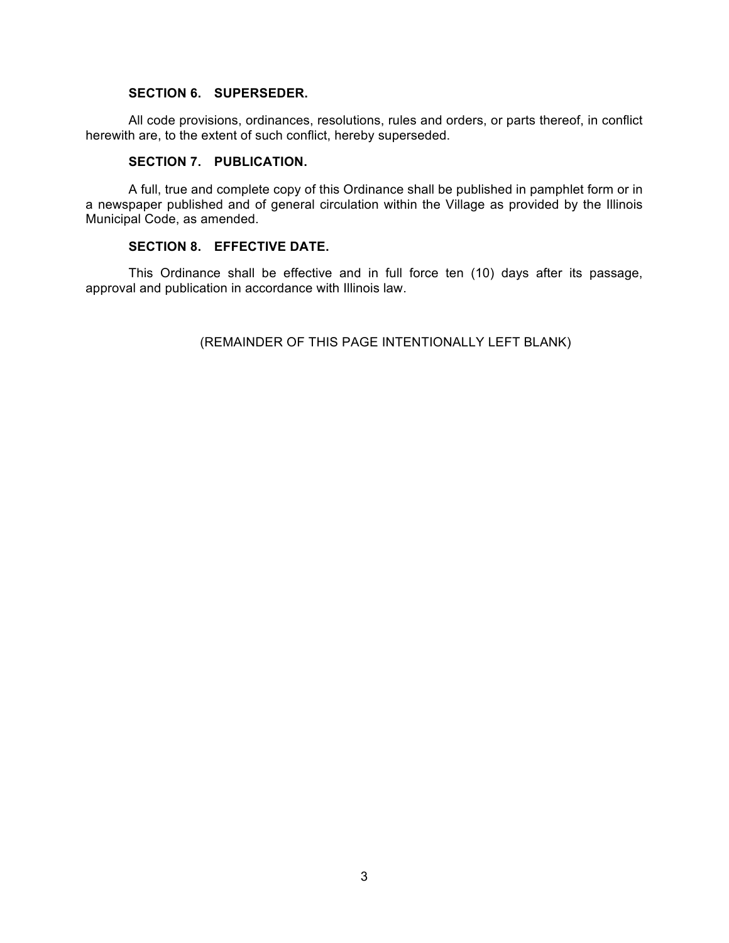### **SECTION 6. SUPERSEDER.**

All code provisions, ordinances, resolutions, rules and orders, or parts thereof, in conflict herewith are, to the extent of such conflict, hereby superseded.

## **SECTION 7. PUBLICATION.**

A full, true and complete copy of this Ordinance shall be published in pamphlet form or in a newspaper published and of general circulation within the Village as provided by the Illinois Municipal Code, as amended.

## **SECTION 8. EFFECTIVE DATE.**

This Ordinance shall be effective and in full force ten (10) days after its passage, approval and publication in accordance with Illinois law.

(REMAINDER OF THIS PAGE INTENTIONALLY LEFT BLANK)